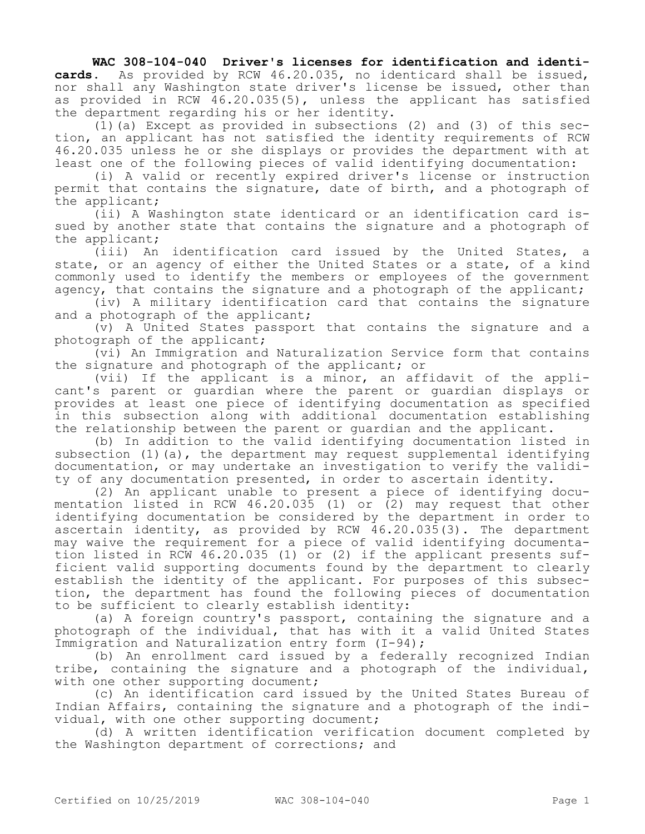**WAC 308-104-040 Driver's licenses for identification and identicards.** As provided by RCW 46.20.035, no identicard shall be issued, nor shall any Washington state driver's license be issued, other than as provided in RCW 46.20.035(5), unless the applicant has satisfied the department regarding his or her identity.

(1)(a) Except as provided in subsections (2) and (3) of this section, an applicant has not satisfied the identity requirements of RCW 46.20.035 unless he or she displays or provides the department with at least one of the following pieces of valid identifying documentation:

(i) A valid or recently expired driver's license or instruction permit that contains the signature, date of birth, and a photograph of the applicant;

(ii) A Washington state identicard or an identification card issued by another state that contains the signature and a photograph of the applicant;

(iii) An identification card issued by the United States, a state, or an agency of either the United States or a state, of a kind commonly used to identify the members or employees of the government agency, that contains the signature and a photograph of the applicant;

(iv) A military identification card that contains the signature and a photograph of the applicant;

(v) A United States passport that contains the signature and a photograph of the applicant;

(vi) An Immigration and Naturalization Service form that contains the signature and photograph of the applicant; or

(vii) If the applicant is a minor, an affidavit of the applicant's parent or guardian where the parent or guardian displays or provides at least one piece of identifying documentation as specified in this subsection along with additional documentation establishing the relationship between the parent or guardian and the applicant.

(b) In addition to the valid identifying documentation listed in subsection (1)(a), the department may request supplemental identifying documentation, or may undertake an investigation to verify the validity of any documentation presented, in order to ascertain identity.

(2) An applicant unable to present a piece of identifying documentation listed in RCW 46.20.035 (1) or (2) may request that other identifying documentation be considered by the department in order to ascertain identity, as provided by RCW 46.20.035(3). The department may waive the requirement for a piece of valid identifying documentation listed in RCW 46.20.035 (1) or (2) if the applicant presents sufficient valid supporting documents found by the department to clearly establish the identity of the applicant. For purposes of this subsection, the department has found the following pieces of documentation to be sufficient to clearly establish identity:

(a) A foreign country's passport, containing the signature and a photograph of the individual, that has with it a valid United States Immigration and Naturalization entry form (I-94);

(b) An enrollment card issued by a federally recognized Indian tribe, containing the signature and a photograph of the individual, with one other supporting document;

(c) An identification card issued by the United States Bureau of Indian Affairs, containing the signature and a photograph of the individual, with one other supporting document;

(d) A written identification verification document completed by the Washington department of corrections; and